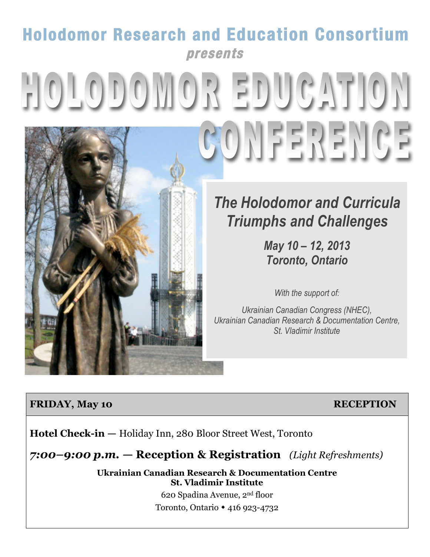## **Holodomor Research and Education Consortium presents**

# HOLODOMOR EDUCATION COMFEREMCE



*May 10 – 12, 2013 Toronto, Ontario*

*With the support of:*

*Ukrainian Canadian Congress (NHEC), Ukrainian Canadian Research & Documentation Centre, St. Vladimir Institute*

#### **FRIDAY, May 10 RECEPTION**

**Hotel Check-in —** Holiday Inn, 280 Bloor Street West, Toronto

## *7:00–9:00 p.m.* **— Reception & Registration** *(Light Refreshments)*

**Ukrainian Canadian Research & Documentation Centre St. Vladimir Institute**

> 620 Spadina Avenue, 2nd floor Toronto, Ontario 416 923-4732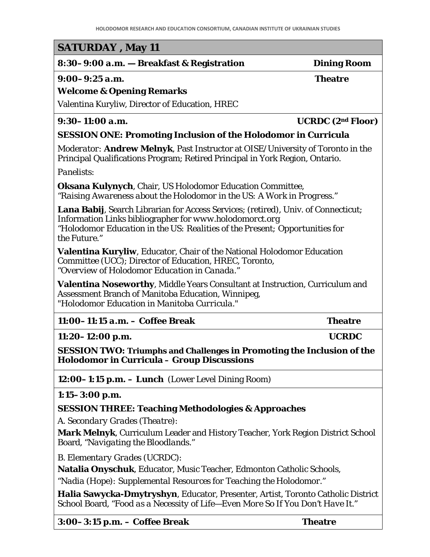#### **SATURDAY , May 11**

#### *8:30–9:00 a.m.* **— Breakfast & Registration Dining Room**

*9:00–9:25 a.m.* **Theatre**

#### **Welcome & Opening Remarks**

Valentina Kuryliw, Director of Education, HREC

#### *9:30–11:00 a.m.* **UCRDC (2nd Floor)**

#### **SESSION ONE: Promoting Inclusion of the Holodomor in Curricula**

*Moderator:* **Andrew Melnyk**, Past Instructor at OISE/University of Toronto in the Principal Qualifications Program; Retired Principal in York Region, Ontario.

*Panelists:*

**Oksana Kulynych**, Chair, US Holodomor Education Committee, *"Raising Awareness about the Holodomor in the US: A Work in Progress."*

**Lana Babij**, Search Librarian for Access Services; (retired), Univ. of Connecticut; Information Links bibliographer for *[www.holodomorct.org](http://www.holodomorct.org/) "Holodomor Education in the US: Realities of the Present; Opportunities for the Future."*

**Valentina Kuryliw**, Educator, Chair of the National Holodomor Education Committee (UCC); Director of Education, HREC, Toronto, *"Overview of Holodomor Education in Canada."*

**Valentina Noseworthy**, Middle Years Consultant at Instruction, Curriculum and Assessment Branch of Manitoba Education, Winnipeg, *"Holodomor Education in Manitoba Curricula."* 

| $11:00-11:15$ a.m. - Coffee Break | <b>Theatre</b> |
|-----------------------------------|----------------|
|                                   |                |

*11:20–12:00 p.m.* **UCRDC**

**SESSION TWO: Triumphs and Challenges in Promoting the Inclusion of the** 

**Holodomor in Curricula – Group Discussions**

*12:00–1:15 p.m.* **– Lunch** (Lower Level Dining Room)

*1:15–3:00 p.m.*

#### **SESSION THREE: Teaching Methodologies & Approaches**

*A. Secondary Grades (Theatre):* 

**Mark Melnyk**, Curriculum Leader and History Teacher, York Region District School Board, *"Navigating the Bloodlands."*

*B. Elementary Grades (UCRDC):* 

**Natalia Onyschuk**, Educator, Music Teacher, Edmonton Catholic Schools,

*"Nadia (Hope): Supplemental Resources for Teaching the Holodomor."*

**Halia Sawycka-Dmytryshyn**, Educator, Presenter, Artist, Toronto Catholic District School Board, "*Food as a Necessity of Life—Even More So If You Don't Have It."*

*3:00–3:15 p.m***. – Coffee Break Theatre**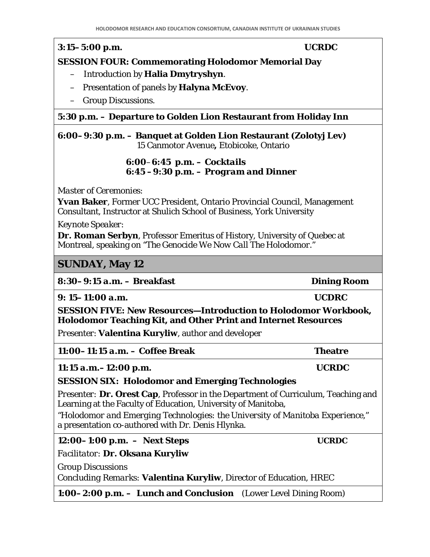#### *3:15–5:00 p.m.* **UCRDC SESSION FOUR: Commemorating Holodomor Memorial Day**

- Introduction by **Halia Dmytryshyn**.
- Presentation of panels by **Halyna McEvoy**.
- Group Discussions.

#### *5:30 p.m.* **– Departure to Golden Lion Restaurant from Holiday Inn**

#### *6:00–9:30 p.m.* **– Banquet at Golden Lion Restaurant (Zolotyj Lev)**  15 Canmotor Avenue**,** Etobicoke, Ontario

#### *6:00–6:45 p.m. – Cocktails 6:45 –9:30 p.m. – Program and Dinner*

*Master of Ceremonies:* 

**Yvan Baker**, Former UCC President, Ontario Provincial Council, Management Consultant, Instructor at Shulich School of Business, York University

*Keynote Speaker*:

**Dr. Roman Serbyn**, Professor Emeritus of History, University of Quebec at Montreal, speaking on *"The Genocide We Now Call The Holodomor*."

#### **SUNDAY, May 12**

#### *8:30–9:15 a.m***. – Breakfast Dining Room**

*9: 15–11:00 a.m***. UCDRC**

**SESSION FIVE: New Resources—Introduction to Holodomor Workbook, Holodomor Teaching Kit, and Other Print and Internet Resources**

*Presenter*: **Valentina Kuryliw**, author and developer

| $11:00-11:15$ a.m. - Coffee Break | <b>Theatre</b> |
|-----------------------------------|----------------|
|                                   |                |

*11:15 a.m.–12:00 p.m.* **UCRDC**

#### **SESSION SIX***:* **Holodomor and Emerging Technologies**

*Presenter:* **Dr. Orest Cap**, Professor in the Department of Curriculum, Teaching and Learning at the Faculty of Education, University of Manitoba,

*"Holodomor and Emerging Technologies: the University of Manitoba Experience,"* a presentation co-authored with Dr. Denis Hlynka.

*12:00–1:00 p.m.* **– Next Steps UCRDC**

*Facilitator:* **Dr. Oksana Kuryliw**

Group Discussions

*Concluding Remarks:* **Valentina Kuryliw**, Director of Education, HREC

*1:00–2:00 p.m.* **– Lunch and Conclusion** (Lower Level Dining Room)